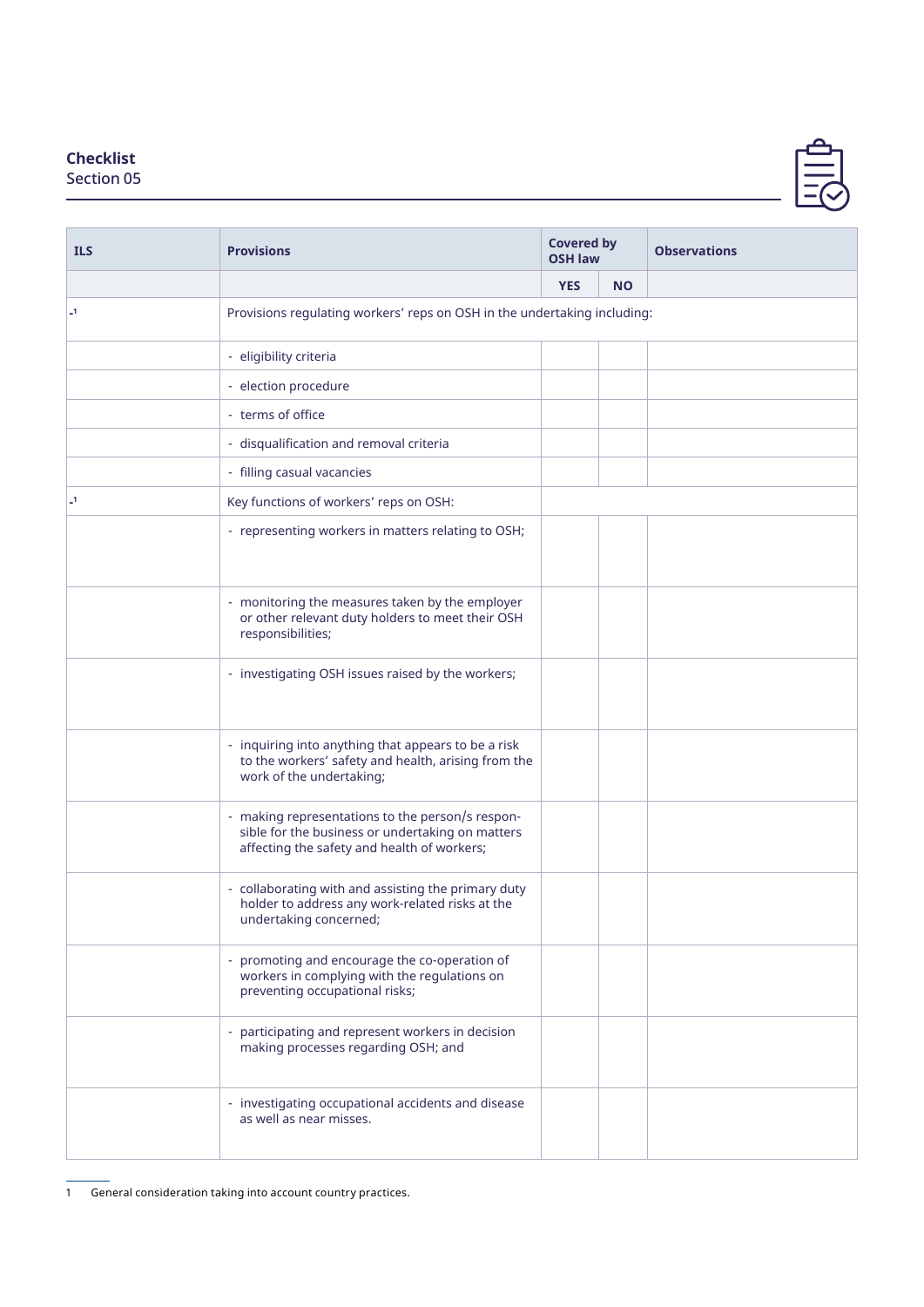## **Checklist**

Section 05

| <b>ILS</b>     | <b>Provisions</b>                                                                                                                                   | <b>Covered by</b><br><b>OSH law</b> |           | <b>Observations</b> |  |  |  |
|----------------|-----------------------------------------------------------------------------------------------------------------------------------------------------|-------------------------------------|-----------|---------------------|--|--|--|
|                |                                                                                                                                                     | <b>YES</b>                          | <b>NO</b> |                     |  |  |  |
| $\overline{a}$ | Provisions regulating workers' reps on OSH in the undertaking including:                                                                            |                                     |           |                     |  |  |  |
|                | - eligibility criteria                                                                                                                              |                                     |           |                     |  |  |  |
|                | - election procedure                                                                                                                                |                                     |           |                     |  |  |  |
|                | - terms of office                                                                                                                                   |                                     |           |                     |  |  |  |
|                | - disqualification and removal criteria                                                                                                             |                                     |           |                     |  |  |  |
|                | - filling casual vacancies                                                                                                                          |                                     |           |                     |  |  |  |
| $\overline{a}$ | Key functions of workers' reps on OSH:                                                                                                              |                                     |           |                     |  |  |  |
|                | - representing workers in matters relating to OSH;                                                                                                  |                                     |           |                     |  |  |  |
|                | - monitoring the measures taken by the employer<br>or other relevant duty holders to meet their OSH<br>responsibilities;                            |                                     |           |                     |  |  |  |
|                | - investigating OSH issues raised by the workers;                                                                                                   |                                     |           |                     |  |  |  |
|                | - inquiring into anything that appears to be a risk<br>to the workers' safety and health, arising from the<br>work of the undertaking;              |                                     |           |                     |  |  |  |
|                | - making representations to the person/s respon-<br>sible for the business or undertaking on matters<br>affecting the safety and health of workers; |                                     |           |                     |  |  |  |
|                | - collaborating with and assisting the primary duty<br>holder to address any work-related risks at the<br>undertaking concerned;                    |                                     |           |                     |  |  |  |
|                | - promoting and encourage the co-operation of<br>workers in complying with the regulations on<br>preventing occupational risks;                     |                                     |           |                     |  |  |  |
|                | participating and represent workers in decision<br>making processes regarding OSH; and                                                              |                                     |           |                     |  |  |  |
|                | - investigating occupational accidents and disease<br>as well as near misses.                                                                       |                                     |           |                     |  |  |  |